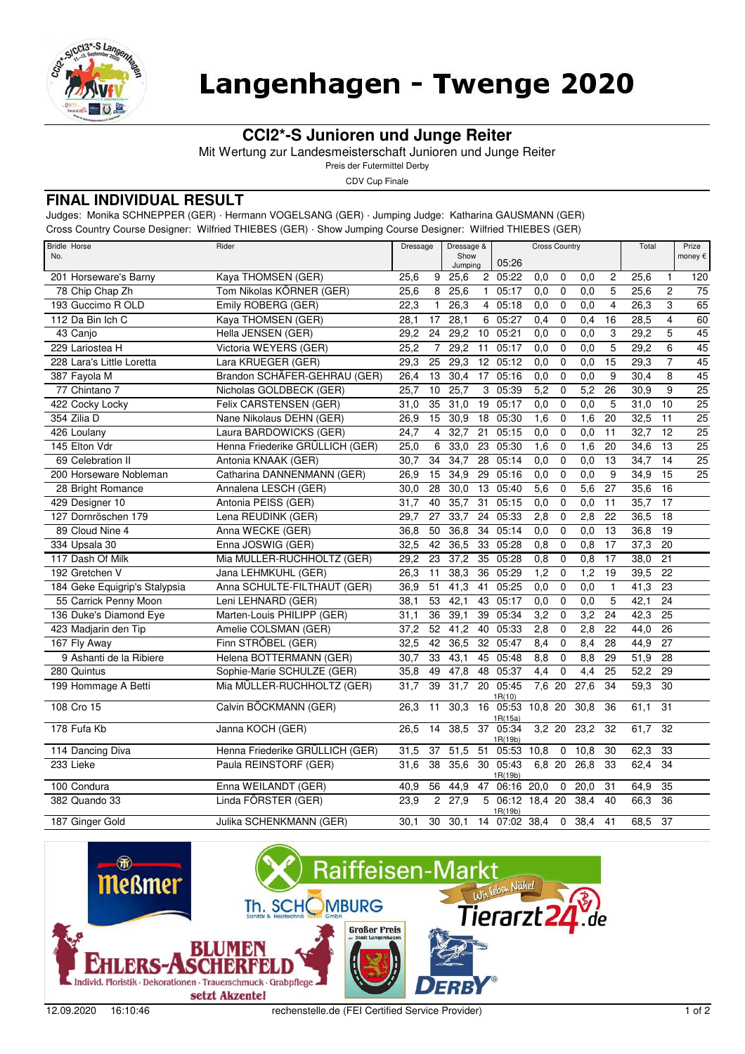

# Langenhagen - Twenge 2020

## **CCI2\*-S Junioren und Junge Reiter**

Mit Wertung zur Landesmeisterschaft Junioren und Junge Reiter

Preis der Futermittel Derby

CDV Cup Finale

#### **FINAL INDIVIDUAL RESULT**

Judges: Monika SCHNEPPER (GER) · Hermann VOGELSANG (GER) · Jumping Judge: Katharina GAUSMANN (GER)

Cross Country Course Designer: Wilfried THIEBES (GER) · Show Jumping Course Designer: Wilfried THIEBES (GER)

| <b>Bridle Horse</b><br>No.    | Rider                           | Dressage          |                         | Dressage &<br>Show<br>Jumping |                 | 05:26                    | <b>Cross Country</b> |             |      |                         | Total             |                 | Prize<br>money € |
|-------------------------------|---------------------------------|-------------------|-------------------------|-------------------------------|-----------------|--------------------------|----------------------|-------------|------|-------------------------|-------------------|-----------------|------------------|
| 201 Horseware's Barny         | Kaya THOMSEN (GER)              | 25,6              | 9                       | 25,6                          |                 | 2 05:22                  | 0,0                  | 0           | 0,0  | 2                       | 25,6              | 1               | 120              |
| 78 Chip Chap Zh               | Tom Nikolas KÖRNER (GER)        | 25,6              | 8                       | 25,6                          | $\mathbf{1}$    | 05:17                    | 0,0                  | $\mathbf 0$ | 0,0  | 5                       | 25,6              | $\overline{2}$  | $\overline{75}$  |
| 193 Guccimo R OLD             | Emily ROBERG (GER)              | 22,3              | $\mathbf{1}$            | 26,3                          | $\overline{4}$  | 05:18                    | 0,0                  | $\mathbf 0$ | 0.0  | $\overline{\mathbf{4}}$ | 26,3              | 3               | 65               |
| 112 Da Bin Ich C              | Kaya THOMSEN (GER)              | 28,1              | 17                      | 28,1                          | 6               | 05:27                    | 0,4                  | $\Omega$    | 0.4  | 16                      | 28,5              | 4               | 60               |
| 43 Canjo                      | Hella JENSEN (GER)              | 29,2              | 24                      | 29,2                          | 10              | 05:21                    | 0,0                  | $\mathbf 0$ | 0,0  | 3                       | 29,2              | $\overline{5}$  | 45               |
| 229 Lariostea H               | Victoria WEYERS (GER)           | 25,2              | $\overline{7}$          | 29,2                          | 11              | 05:17                    | 0,0                  | $\mathbf 0$ | 0,0  | 5                       | 29,2              | 6               | $\overline{45}$  |
| 228 Lara's Little Loretta     | Lara KRUEGER (GER)              | 29,3              | 25                      | 29,3                          | 12              | 05:12                    | 0,0                  | $\mathbf 0$ | 0.0  | 15                      | 29,3              | $\overline{7}$  | 45               |
| 387 Fayola M                  | Brandon SCHÄFER-GEHRAU (GER)    | 26,4              | 13                      | 30,4                          | 17              | 05:16                    | 0,0                  | $\mathbf 0$ | 0,0  | 9                       | 30,4              | 8               | 45               |
| 77 Chintano 7                 | Nicholas GOLDBECK (GER)         | 25,7              | 10                      | 25,7                          | 3               | 05:39                    | 5,2                  | $\mathbf 0$ | 5,2  | 26                      | 30,9              | 9               | $\overline{25}$  |
| 422 Cocky Locky               | Felix CARSTENSEN (GER)          | $\overline{3}1,0$ | 35                      | 31,0                          | $\overline{19}$ | 05:17                    | 0,0                  | $\mathbf 0$ | 0.0  | 5                       | 31,0              | $\overline{10}$ | $\overline{25}$  |
| 354 Zilia D                   | Nane Nikolaus DEHN (GER)        | 26,9              | 15                      | 30,9                          | 18              | 05:30                    | $\overline{1,6}$     | $\mathbf 0$ | 1,6  | 20                      | 32,5              | $\overline{11}$ | $\overline{25}$  |
| 426 Loulany                   | Laura BARDOWICKS (GER)          | 24,7              | $\overline{\mathbf{4}}$ | 32,7                          | $\overline{21}$ | 05:15                    | 0,0                  | $\mathbf 0$ | 0,0  | 11                      | 32,7              | $\overline{12}$ | $\overline{25}$  |
| 145 Elton Vdr                 | Henna Friederike GRÜLLICH (GER) | 25,0              | 6                       | 33,0                          | $\overline{23}$ | 05:30                    | 1,6                  | $\mathbf 0$ | 1,6  | $\overline{20}$         | 34,6              | $\overline{13}$ | $\overline{25}$  |
| 69 Celebration II             | Antonia KNAAK (GER)             | 30,7              | 34                      | 34,7                          | 28              | 05:14                    | 0,0                  | $\mathbf 0$ | 0,0  | 13                      | 34,7              | $\overline{14}$ | $\overline{25}$  |
| 200 Horseware Nobleman        | Catharina DANNENMANN (GER)      | 26,9              | 15                      | 34,9                          | 29              | 05:16                    | 0,0                  | $\mathbf 0$ | 0,0  | 9                       | 34,9              | $\overline{15}$ | $\overline{25}$  |
| 28 Bright Romance             | Annalena LESCH (GER)            | 30,0              | 28                      | 30,0                          | 13              | 05:40                    | 5,6                  | $\mathbf 0$ | 5,6  | $\overline{27}$         | 35,6              | $\overline{16}$ |                  |
| 429 Designer 10               | Antonia PEISS (GER)             | 31,7              | 40                      | 35,7                          | 31              | 05:15                    | 0,0                  | $\mathbf 0$ | 0,0  | $\overline{11}$         | 35,7              | 17              |                  |
| 127 Dornröschen 179           | Lena REUDINK (GER)              | 29,7              | 27                      | 33,7                          | 24              | 05:33                    | 2,8                  | $\mathbf 0$ | 2,8  | 22                      | 36,5              | 18              |                  |
| 89 Cloud Nine 4               | Anna WECKE (GER)                | 36,8              | 50                      | 36,8                          | $\overline{34}$ | 05:14                    | 0,0                  | $\mathbf 0$ | 0,0  | $\overline{13}$         | 36,8              | $\overline{19}$ |                  |
| 334 Upsala 30                 | Enna JOSWIG (GER)               | 32,5              | 42                      | 36,5                          | 33              | 05:28                    | 0,8                  | $\mathbf 0$ | 0,8  | 17                      | 37,3              | 20              |                  |
| 117 Dash Of Milk              | Mia MÜLLER-RUCHHOLTZ (GER)      | 29,2              | 23                      | 37,2                          | 35              | 05:28                    | 0,8                  | $\mathbf 0$ | 0,8  | $\overline{17}$         | 38,0              | 21              |                  |
| 192 Gretchen V                | Jana LEHMKUHL (GER)             | 26,3              | $\overline{11}$         | 38,3                          | $\overline{36}$ | 05:29                    | $\overline{1,2}$     | $\pmb{0}$   | 1,2  | $\overline{19}$         | 39,5              | $\overline{22}$ |                  |
| 184 Geke Equigrip's Stalypsia | Anna SCHULTE-FILTHAUT (GER)     | 36,9              | 51                      | $\overline{41,3}$             | 41              | 05:25                    | 0,0                  | $\mathbf 0$ | 0.0  | $\mathbf{1}$            | $\overline{41,3}$ | 23              |                  |
| 55 Carrick Penny Moon         | Leni LEHNARD (GER)              | 38,1              | 53                      | 42,1                          | 43              | 05:17                    | $\overline{0,0}$     | $\mathbf 0$ | 0,0  | 5                       | 42,1              | $\overline{24}$ |                  |
| 136 Duke's Diamond Eye        | Marten-Louis PHILIPP (GER)      | 31,1              | $\overline{36}$         | 39,1                          | $\overline{39}$ | 05:34                    | 3,2                  | $\mathbf 0$ | 3,2  | $\overline{24}$         | 42,3              | $\overline{25}$ |                  |
| 423 Madjarin den Tip          | Amelie COLSMAN (GER)            | 37,2              | 52                      | 41,2                          | 40              | 05:33                    | 2,8                  | $\mathbf 0$ | 2.8  | 22                      | 44,0              | 26              |                  |
| 167 Fly Away                  | Finn STRÖBEL (GER)              | 32,5              | 42                      | 36,5                          | 32              | 05:47                    | 8,4                  | $\mathbf 0$ | 8,4  | 28                      | 44,9              | 27              |                  |
| 9 Ashanti de la Ribiere       | Helena BOTTERMANN (GER)         | 30,7              | 33                      | 43,1                          | 45              | 05:48                    | 8,8                  | $\mathbf 0$ | 8,8  | 29                      | $\overline{51,9}$ | 28              |                  |
| 280 Quintus                   | Sophie-Marie SCHULZE (GER)      | 35,8              | 49                      | 47,8                          | 48              | 05:37                    | 4,4                  | $\mathbf 0$ | 4,4  | $\overline{25}$         | 52,2              | 29              |                  |
| 199 Hommage A Betti           | Mia MÜLLER-RUCHHOLTZ (GER)      | 31,7              | 39                      | 31,7                          | 20              | 05:45<br>1R(10)          | 7,6 20               |             | 27,6 | 34                      | 59,3              | 30              |                  |
| 108 Cro 15                    | Calvin BÖCKMANN (GER)           | 26,3              | 11                      | 30,3                          |                 | 16 05:53<br>1R(15a)      | 10,8                 | 20          | 30,8 | 36                      | 61,1              | 31              |                  |
| 178 Fufa Kb                   | Janna KOCH (GER)                | 26,5              | 14                      | 38,5                          |                 | 37 05:34<br>1R(19b)      | $3,2$ 20             |             | 23,2 | 32                      | 61,7              | 32              |                  |
| 114 Dancing Diva              | Henna Friederike GRÜLLICH (GER) | 31,5              | 37                      | 51,5                          | 51              | 05:53                    | 10,8                 | 0           | 10,8 | 30                      | 62,3              | 33              |                  |
| 233 Lieke                     | Paula REINSTORF (GER)           | 31,6              | $\overline{38}$         | 35,6                          |                 | 30 05:43<br>1R(19b)      | 6,8 20               |             | 26,8 | 33                      | 62,4              | $\overline{34}$ |                  |
| 100 Condura                   | Enna WEILANDT (GER)             | 40,9              | 56                      | 44,9                          | 47              | 06:16                    | 20,0                 | $\mathbf 0$ | 20,0 | 31                      | 64,9              | 35              |                  |
| 382 Quando 33                 | Linda FÖRSTER (GER)             | 23,9              | $\overline{2}$          | 27,9                          | 5               | 06:12 18,4 20<br>1R(19b) |                      |             | 38,4 | 40                      | 66,3              | $\overline{36}$ |                  |
| 187 Ginger Gold               | Julika SCHENKMANN (GER)         | 30.1              | 30                      | 30.1                          | 14              | 07:02 38,4               |                      | $\Omega$    | 38,4 | 41                      | 68.5              | 37              |                  |